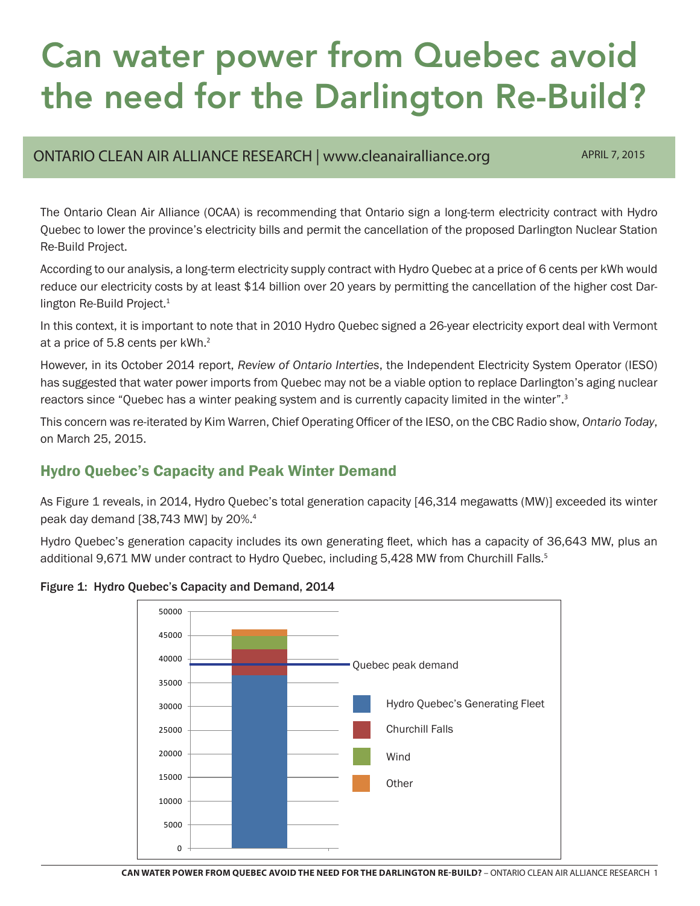# Can water power from Quebec avoid the need for the Darlington Re-Build?

### ONTARIO CLEAN AIR ALLIANCE RESEARCH | www.cleanairalliance.org APRIL 7, 2015

The Ontario Clean Air Alliance (OCAA) is recommending that Ontario sign a long-term electricity contract with Hydro Quebec to lower the province's electricity bills and permit the cancellation of the proposed Darlington Nuclear Station Re-Build Project.

According to our analysis, a long-term electricity supply contract with Hydro Quebec at a price of 6 cents per kWh would reduce our electricity costs by at least \$14 billion over 20 years by permitting the cancellation of the higher cost Darlington Re-Build Project.<sup>1</sup>

In this context, it is important to note that in 2010 Hydro Quebec signed a 26-year electricity export deal with Vermont at a price of 5.8 cents per kWh.<sup>2</sup>

However, in its October 2014 report, *Review of Ontario Interties*, the Independent Electricity System Operator (IESO) has suggested that water power imports from Quebec may not be a viable option to replace Darlington's aging nuclear reactors since "Quebec has a winter peaking system and is currently capacity limited in the winter".<sup>3</sup>

This concern was re-iterated by Kim Warren, Chief Operating Officer of the IESO, on the CBC Radio show, *Ontario Today*, on March 25, 2015.

## Hydro Quebec's Capacity and Peak Winter Demand

As Figure 1 reveals, in 2014, Hydro Quebec's total generation capacity [46,314 megawatts (MW)] exceeded its winter peak day demand [38,743 MW] by 20%.<sup>4</sup>

Hydro Quebec's generation capacity includes its own generating fleet, which has a capacity of 36,643 MW, plus an additional 9,671 MW under contract to Hydro Quebec, including 5,428 MW from Churchill Falls.<sup>5</sup>

Figure 1: Hydro Quebec's Capacity and Demand, 2014